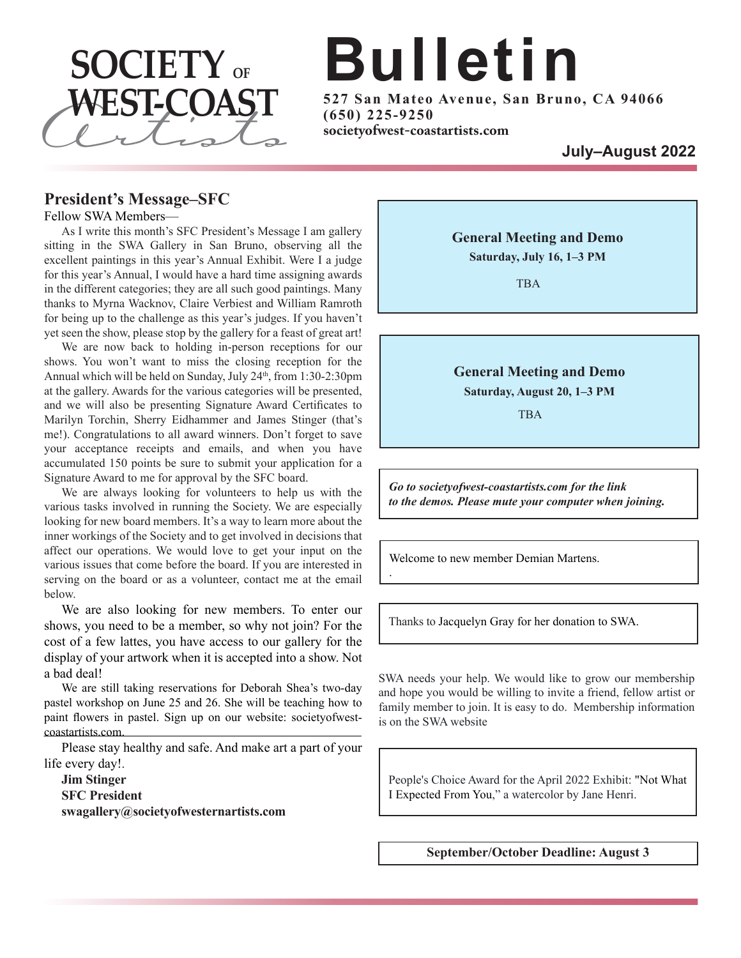

# **Bulletin**

**5 2 7 S an Ma teo Avenue, S an Brun o, CA 9 4 0 6 6 ( 6 5 0 ) 2 2 5 - 9 2 5 0**

#### **President's Message–SFC**

#### Fellow SWA Members—

As I write this month's SFC President's Message I am gallery sitting in the SWA Gallery in San Bruno, observing all the excellent paintings in this year's Annual Exhibit. Were I a judge for this year's Annual, I would have a hard time assigning awards in the different categories; they are all such good paintings. Many thanks to Myrna Wacknov, Claire Verbiest and William Ramroth for being up to the challenge as this year's judges. If you haven't yet seen the show, please stop by the gallery for a feast of great art!

We are now back to holding in-person receptions for our shows. You won't want to miss the closing reception for the Annual which will be held on Sunday, July  $24<sup>th</sup>$ , from 1:30-2:30pm at the gallery. Awards for the various categories will be presented, and we will also be presenting Signature Award Certificates to Marilyn Torchin, Sherry Eidhammer and James Stinger (that's me!). Congratulations to all award winners. Don't forget to save your acceptance receipts and emails, and when you have accumulated 150 points be sure to submit your application for a Signature Award to me for approval by the SFC board.

We are always looking for volunteers to help us with the various tasks involved in running the Society. We are especially looking for new board members. It's a way to learn more about the inner workings of the Society and to get involved in decisions that affect our operations. We would love to get your input on the various issues that come before the board. If you are interested in serving on the board or as a volunteer, contact me at the email below.

We are also looking for new members. To enter our shows, you need to be a member, so why not join? For the cost of a few lattes, you have access to our gallery for the display of your artwork when it is accepted into a show. Not a bad deal!

We are still taking reservations for Deborah Shea's two-day pastel workshop on June 25 and 26. She will be teaching how to paint flowers in pastel. Sign up on our website: societyofwestcoastartists.com.

Please stay healthy and safe. And make art a part of your life every day!.

**Jim Stinger SFC President swagallery@societyofwesternartists.com** **General Meeting and Demo Saturday, July 16, 1–3 PM**

TBA

**General Meeting and Demo**

**Saturday, August 20, 1–3 PM**

TBA

*Go to societyofwest-coastartists.com for the link to the demos. Please mute your computer when joining.*

Welcome to new member Demian Martens.

.

Thanks to Jacquelyn Gray for her donation to SWA.

SWA needs your help. We would like to grow our membership and hope you would be willing to invite a friend, fellow artist or family member to join. It is easy to do. Membership information is on the SWA website

People's Choice Award for the April 2022 Exhibit: "Not What I Expected From You," a watercolor by Jane Henri.

**September/October Deadline: August 3**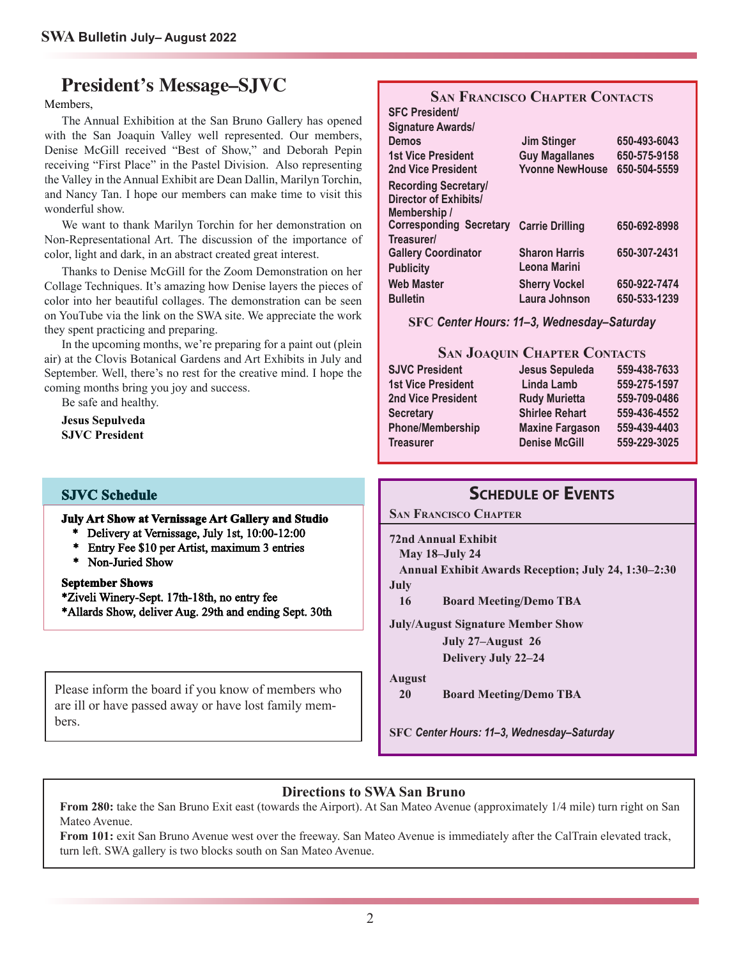### **President's Message–SJVC**

Members,

The Annual Exhibition at the San Bruno Gallery has opened with the San Joaquin Valley well represented. Our members, Denise McGill received "Best of Show," and Deborah Pepin receiving "First Place" in the Pastel Division. Also representing the Valley in the Annual Exhibit are Dean Dallin, Marilyn Torchin, and Nancy Tan. <sup>I</sup> hope our members can make time to visit this wonderful show.

We want to thank Marilyn Torchin for her demonstration on Non-Representational Art. The discussion of the importance of color, light and dark, in an abstract created grea<sup>t</sup> interest.

Thanks to Denise McGill for the Zoom Demonstration on her Collage Techniques. It's amazing how Denise layers the <sup>p</sup>ieces of color into her beautiful collages. The demonstration can be seen on YouTube via the link on the SWA site. We appreciate the work they spen<sup>t</sup> practicing and preparing.

In the upcoming months, we're preparing for <sup>a</sup> paint out (plein air) at the Clovis Botanical Gardens and Art Exhibits in July and September. Well, there's no rest for the creative mind. <sup>I</sup> hope the coming months bring you joy and success.

Be safe and healthy. **Jesus Sepulveda SJVC President**

#### **SJVC Schedule**

#### **July Art Show at Vernissage Art Gallery and Studio**

- \* Delivery at Vernissage, July 1st, 10:00-12:00
- \* Entry Fee \$10 per Artist, maximum 3 entries
- \* Non-Juried Show

#### **September Shows**

\*Ziveli Winery-Sept. 17th-18th, no entry fee

\*Allards Show, deliver Aug. 29th and ending Sept. 30th

Please inform the board if you know of members who are ill or have passed away or have lost family members.

#### **SAN FRANCISCO CHAPTER CONTACTS SFC President/**

| <b>Signature Awards/</b>                       |                        |              |
|------------------------------------------------|------------------------|--------------|
| <b>Demos</b>                                   | <b>Jim Stinger</b>     | 650-493-6043 |
| <b>1st Vice President</b>                      | <b>Guy Magallanes</b>  | 650-575-9158 |
| <b>2nd Vice President</b>                      | <b>Yvonne NewHouse</b> | 650-504-5559 |
| <b>Recording Secretary/</b>                    |                        |              |
| Director of Exhibits/                          |                        |              |
| Membership /                                   |                        |              |
| <b>Corresponding Secretary Carrie Drilling</b> |                        | 650-692-8998 |
| Treasurer/                                     |                        |              |
| <b>Gallery Coordinator</b>                     | <b>Sharon Harris</b>   | 650-307-2431 |
| <b>Publicity</b>                               | Leona Marini           |              |
| <b>Web Master</b>                              | <b>Sherry Vockel</b>   | 650-922-7474 |
| <b>Bulletin</b>                                | Laura Johnson          | 650-533-1239 |
|                                                |                        |              |

**SFC** *Center Hours: 11–3, Wednesday–Saturday*

#### **SAN JOAQUIN CHAPTER CONTACTS**

| <b>SJVC President</b>     | Jesus Sepuleda         | 559-438-7633 |
|---------------------------|------------------------|--------------|
| <b>1st Vice President</b> | Linda Lamb             | 559-275-1597 |
| 2nd Vice President        | <b>Rudy Murietta</b>   | 559-709-0486 |
| <b>Secretary</b>          | <b>Shirlee Rehart</b>  | 559-436-4552 |
| <b>Phone/Membership</b>   | <b>Maxine Fargason</b> | 559-439-4403 |
| <b>Treasurer</b>          | <b>Denise McGill</b>   | 559-229-3025 |

#### **SCHEDULE OF EVENTS**

**SAN FRANCISCO CHAPTER**

**72nd Annual Exhibit May 18–July 24 Annual Exhibit Awards Reception; July 24, 1:30–2:30 July**

**16 Board Meeting/Demo TBA**

**July/August Signature Member Show**

**July 27–August 26**

**Delivery July 22–24**

**August**

**20 Board Meeting/Demo TBA**

**SFC** *Center Hours: 11–3, Wednesday–Saturday*

#### **Directions to SWA San Bruno**

**From 280:** take the San Bruno Exit east (towards the Airport). At San Mateo Avenue (approximately 1/4 mile) turn right on San Mateo Avenue.

**From 101:** exit San Bruno Avenue west over the freeway. San Mateo Avenue is immediately after the CalTrain elevated track, turn left. SWA gallery is two blocks south on San Mateo Avenue.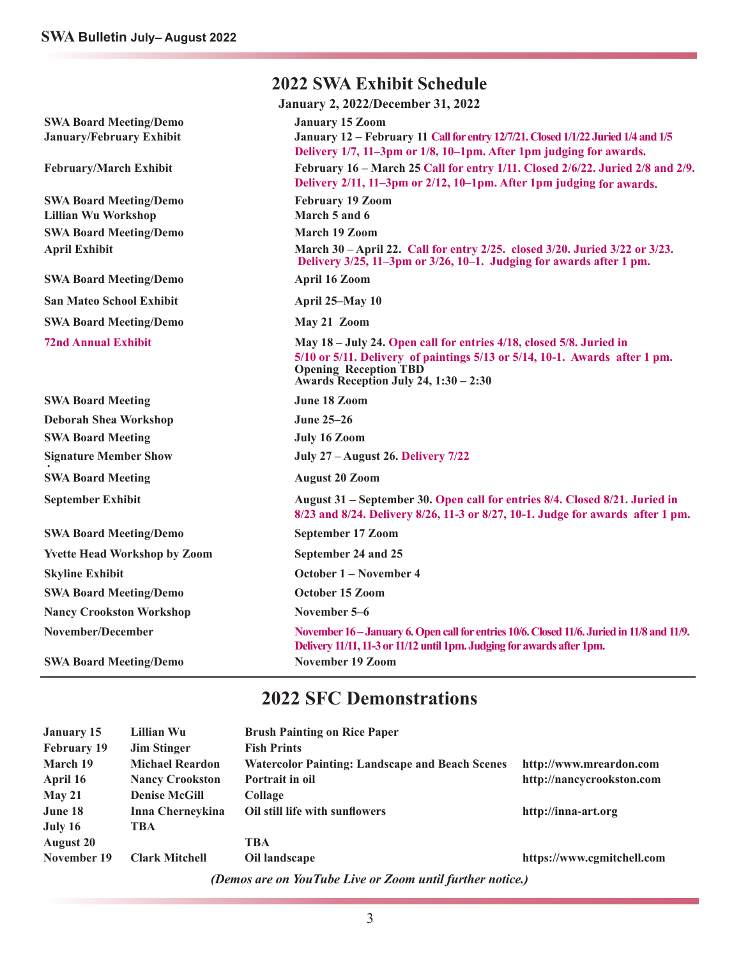| <b>2022 SWA Exhibit Schedule</b>                            |                                                                                                                                                                                                                            |  |  |  |
|-------------------------------------------------------------|----------------------------------------------------------------------------------------------------------------------------------------------------------------------------------------------------------------------------|--|--|--|
|                                                             | <b>January 2, 2022/December 31, 2022</b>                                                                                                                                                                                   |  |  |  |
| <b>SWA Board Meeting/Demo</b><br>January/February Exhibit   | <b>January 15 Zoom</b><br>January 12 - February 11 Call for entry 12/7/21. Closed 1/1/22 Juried 1/4 and 1/5<br>Delivery 1/7, 11–3pm or 1/8, 10–1pm. After 1pm judging for awards.                                          |  |  |  |
| <b>February/March Exhibit</b>                               | February 16 – March 25 Call for entry 1/11. Closed 2/6/22. Juried 2/8 and 2/9.<br>Delivery 2/11, 11-3pm or 2/12, 10-1pm. After 1pm judging for awards.                                                                     |  |  |  |
| <b>SWA Board Meeting/Demo</b><br><b>Lillian Wu Workshop</b> | <b>February 19 Zoom</b><br>March 5 and 6                                                                                                                                                                                   |  |  |  |
| <b>SWA Board Meeting/Demo</b>                               | March 19 Zoom                                                                                                                                                                                                              |  |  |  |
| <b>April Exhibit</b>                                        | March 30 - April 22. Call for entry 2/25. closed 3/20. Juried 3/22 or 3/23.<br>Delivery 3/25, 11-3pm or 3/26, 10-1. Judging for awards after 1 pm.                                                                         |  |  |  |
| <b>SWA Board Meeting/Demo</b>                               | <b>April 16 Zoom</b>                                                                                                                                                                                                       |  |  |  |
| San Mateo School Exhibit                                    | April 25-May 10                                                                                                                                                                                                            |  |  |  |
| <b>SWA Board Meeting/Demo</b>                               | May 21 Zoom                                                                                                                                                                                                                |  |  |  |
| <b>72nd Annual Exhibit</b>                                  | May 18 – July 24. Open call for entries 4/18, closed 5/8. Juried in<br>5/10 or 5/11. Delivery of paintings 5/13 or 5/14, 10-1. Awards after 1 pm.<br><b>Opening Reception TBD</b><br>Awards Reception July 24, 1:30 - 2:30 |  |  |  |
| <b>SWA Board Meeting</b>                                    | June 18 Zoom                                                                                                                                                                                                               |  |  |  |
| <b>Deborah Shea Workshop</b>                                | <b>June 25–26</b>                                                                                                                                                                                                          |  |  |  |
| <b>SWA Board Meeting</b>                                    | <b>July 16 Zoom</b>                                                                                                                                                                                                        |  |  |  |
| <b>Signature Member Show</b>                                | <b>July 27 – August 26. Delivery 7/22</b>                                                                                                                                                                                  |  |  |  |
| <b>SWA Board Meeting</b>                                    | <b>August 20 Zoom</b>                                                                                                                                                                                                      |  |  |  |
| <b>September Exhibit</b>                                    | August 31 – September 30. Open call for entries 8/4. Closed 8/21. Juried in<br>8/23 and 8/24. Delivery 8/26, 11-3 or 8/27, 10-1. Judge for awards after 1 pm.                                                              |  |  |  |
| <b>SWA Board Meeting/Demo</b>                               | <b>September 17 Zoom</b>                                                                                                                                                                                                   |  |  |  |
| <b>Yvette Head Workshop by Zoom</b>                         | September 24 and 25                                                                                                                                                                                                        |  |  |  |
| <b>Skyline Exhibit</b>                                      | <b>October 1 – November 4</b>                                                                                                                                                                                              |  |  |  |
| <b>SWA Board Meeting/Demo</b>                               | October 15 Zoom                                                                                                                                                                                                            |  |  |  |
| <b>Nancy Crookston Workshop</b>                             | November 5–6                                                                                                                                                                                                               |  |  |  |
| <b>November/December</b>                                    | November 16 – January 6. Open call for entries 10/6. Closed 11/6. Juried in 11/8 and 11/9.<br>Delivery 11/11, 11-3 or 11/12 until 1pm. Judging for awards after 1pm.                                                       |  |  |  |
| <b>SWA Board Meeting/Demo</b>                               | <b>November 19 Zoom</b>                                                                                                                                                                                                    |  |  |  |

### **2022 SFC Demonstrations**

| <b>January 15</b>                                         | Lillian Wu             | <b>Brush Painting on Rice Paper</b>                    |                            |  |
|-----------------------------------------------------------|------------------------|--------------------------------------------------------|----------------------------|--|
| <b>February 19</b>                                        | <b>Jim Stinger</b>     | <b>Fish Prints</b>                                     |                            |  |
| March 19                                                  | <b>Michael Reardon</b> | <b>Watercolor Painting: Landscape and Beach Scenes</b> | http://www.mreardon.com    |  |
| April 16                                                  | <b>Nancy Crookston</b> | Portrait in oil                                        | http://nancycrookston.com  |  |
| May 21                                                    | <b>Denise McGill</b>   | Collage                                                |                            |  |
| June 18                                                   | Inna Cherneykina       | Oil still life with sunflowers                         | http://inna-art.org        |  |
| July 16                                                   | <b>TBA</b>             |                                                        |                            |  |
| <b>August 20</b>                                          |                        | <b>TBA</b>                                             |                            |  |
| November 19                                               | <b>Clark Mitchell</b>  | Oil landscape                                          | https://www.cgmitchell.com |  |
| (Demos are on YouTube Live or Zoom until further notice.) |                        |                                                        |                            |  |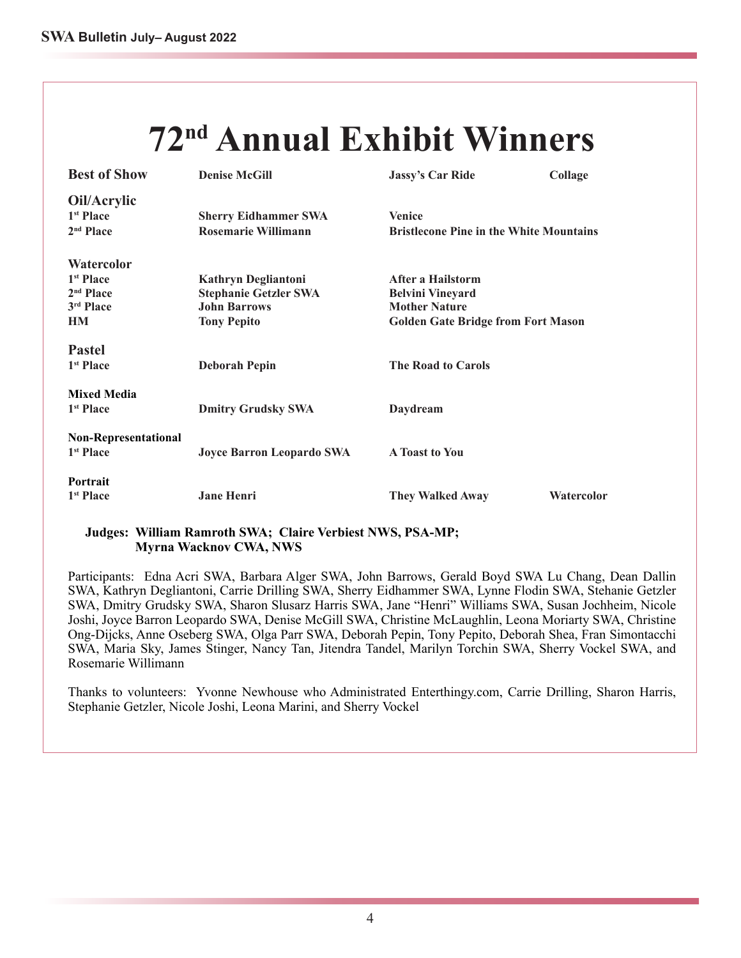# **72nd Annual Exhibit Winners**

| <b>Best of Show</b>                                  | <b>Denise McGill</b>             | <b>Jassy's Car Ride</b>                        | Collage    |
|------------------------------------------------------|----------------------------------|------------------------------------------------|------------|
| Oil/Acrylic<br>1 <sup>st</sup> Place                 | <b>Sherry Eidhammer SWA</b>      | <b>Venice</b>                                  |            |
| 2 <sup>nd</sup> Place                                | Rosemarie Willimann              | <b>Bristlecone Pine in the White Mountains</b> |            |
| <b>Watercolor</b>                                    |                                  |                                                |            |
| 1 <sup>st</sup> Place                                | <b>Kathryn Degliantoni</b>       | After a Hailstorm                              |            |
| 2 <sup>nd</sup> Place                                | <b>Stephanie Getzler SWA</b>     | <b>Belvini Vineyard</b>                        |            |
| 3rd Place                                            | <b>John Barrows</b>              | <b>Mother Nature</b>                           |            |
| HM                                                   | <b>Tony Pepito</b>               | <b>Golden Gate Bridge from Fort Mason</b>      |            |
| <b>Pastel</b><br>1 <sup>st</sup> Place               | <b>Deborah Pepin</b>             | <b>The Road to Carols</b>                      |            |
| <b>Mixed Media</b><br>1 <sup>st</sup> Place          | <b>Dmitry Grudsky SWA</b>        | Daydream                                       |            |
| <b>Non-Representational</b><br>1 <sup>st</sup> Place | <b>Joyce Barron Leopardo SWA</b> | <b>A</b> Toast to You                          |            |
| Portrait<br>1 <sup>st</sup> Place                    | <b>Jane Henri</b>                | <b>They Walked Away</b>                        | Watercolor |

#### **Judges: William Ramroth SWA; Claire Verbiest NWS, PSA-MP; Myrna Wacknov CWA, NWS**

Participants: Edna Acri SWA, Barbara Alger SWA, John Barrows, Gerald Boyd SWA Lu Chang, Dean Dallin SWA, Kathryn Degliantoni, Carrie Drilling SWA, Sherry Eidhammer SWA, Lynne Flodin SWA, Stehanie Getzler SWA, Dmitry Grudsky SWA, Sharon Slusarz Harris SWA, Jane "Henri" Williams SWA, Susan Jochheim, Nicole Joshi, Joyce Barron Leopardo SWA, Denise McGill SWA, Christine McLaughlin, Leona Moriarty SWA, Christine Ong-Dijcks, Anne Oseberg SWA, Olga Parr SWA, Deborah Pepin, Tony Pepito, Deborah Shea, Fran Simontacchi SWA, Maria Sky, James Stinger, Nancy Tan, Jitendra Tandel, Marilyn Torchin SWA, Sherry Vockel SWA, and Rosemarie Willimann

Thanks to volunteers: Yvonne Newhouse who Administrated Enterthingy.com, Carrie Drilling, Sharon Harris, Stephanie Getzler, Nicole Joshi, Leona Marini, and Sherry Vockel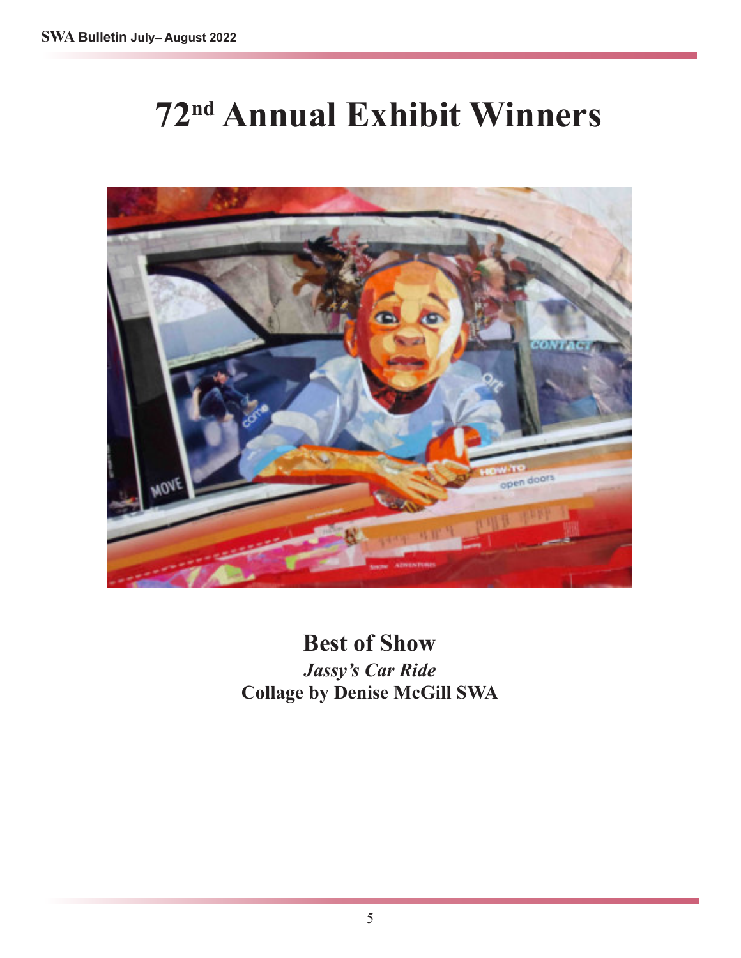# **72nd Annual Exhibit Winners**



**Best of Show** *Jassy's Car Ride* **Collage by Denise McGill SWA**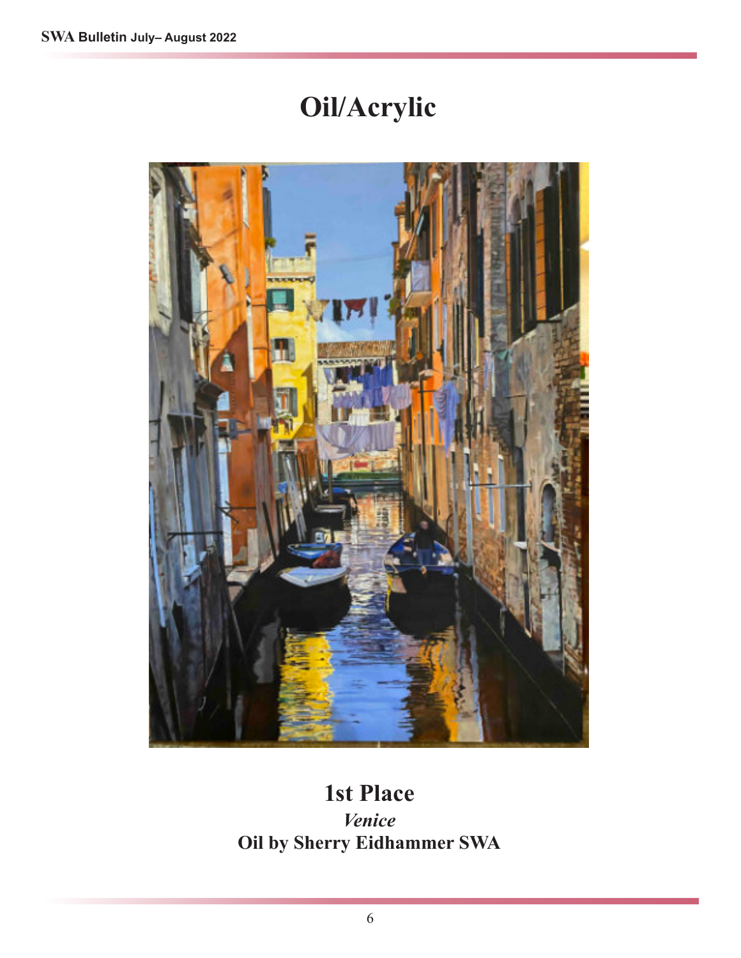# **Oil/Acrylic**



### **1st Place**

*Venice* **Oil by Sherry Eidhammer SWA**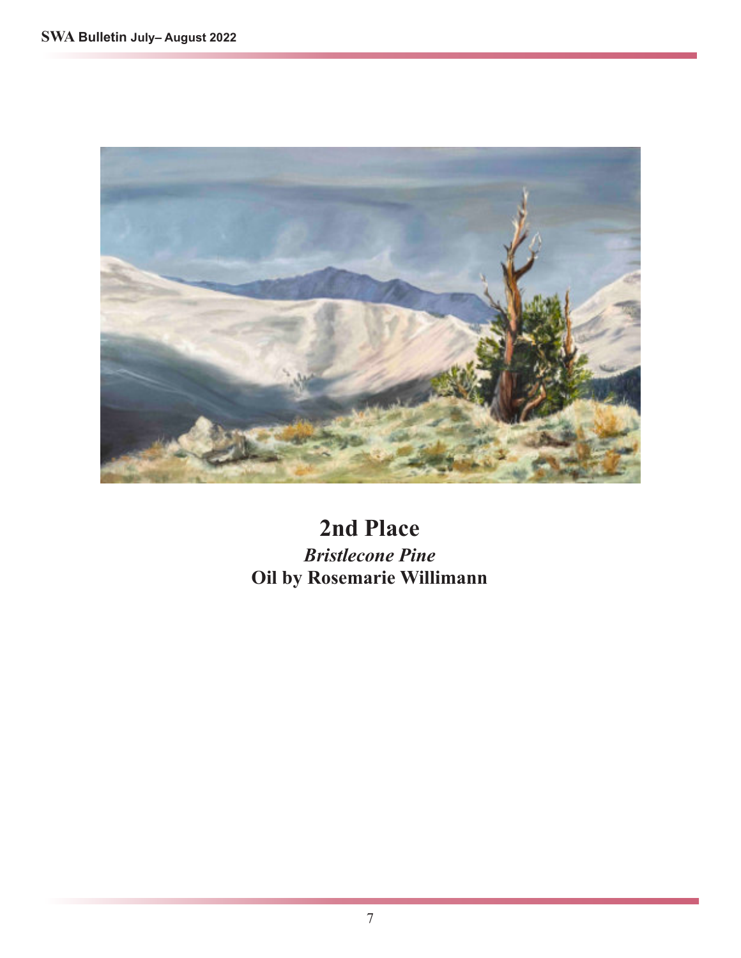

### **2nd Place** *Bristlecone Pine* **Oil by Rosemarie Willimann**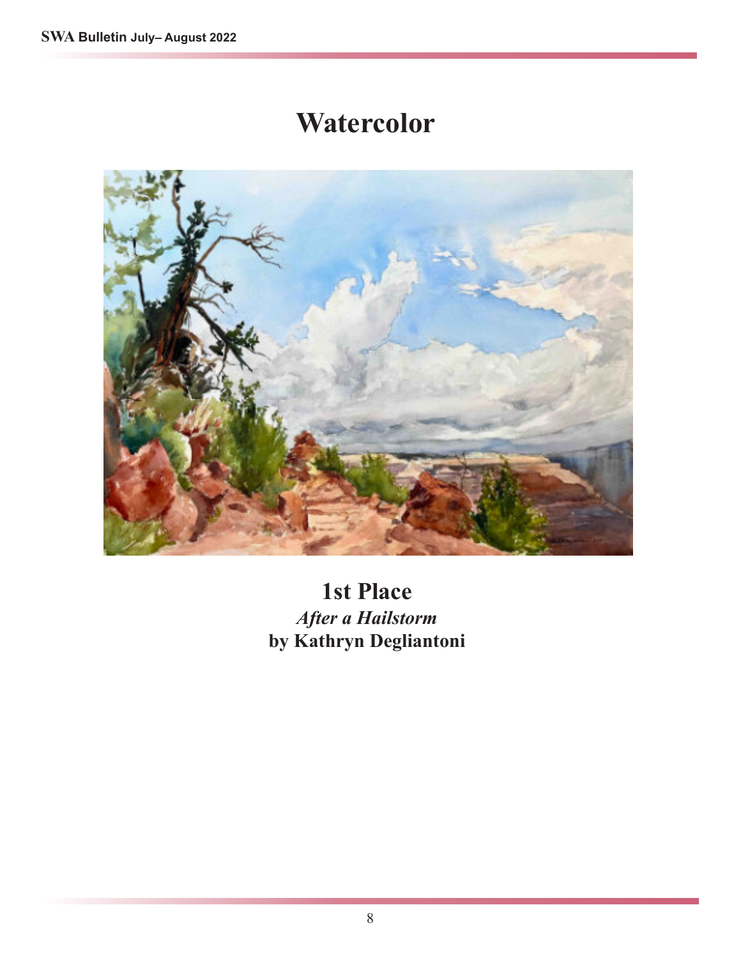### **Watercolor**



**1st Place** *After a Hailstorm* **by Kathryn Degliantoni**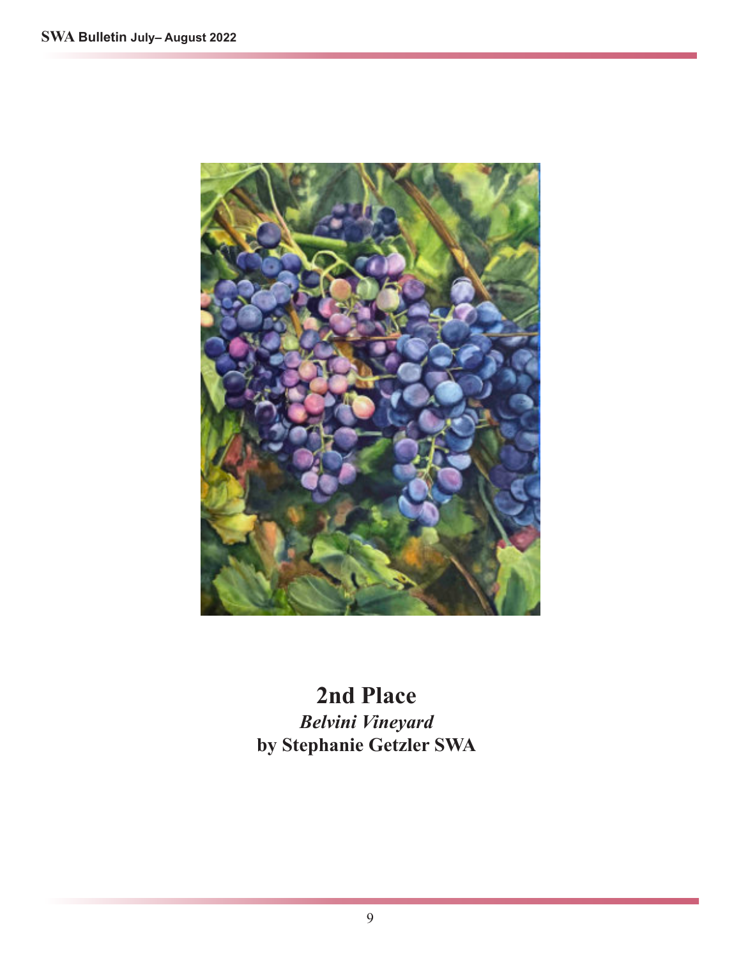

**2nd Place** *Belvini Vineyard* **by Stephanie Getzler SWA**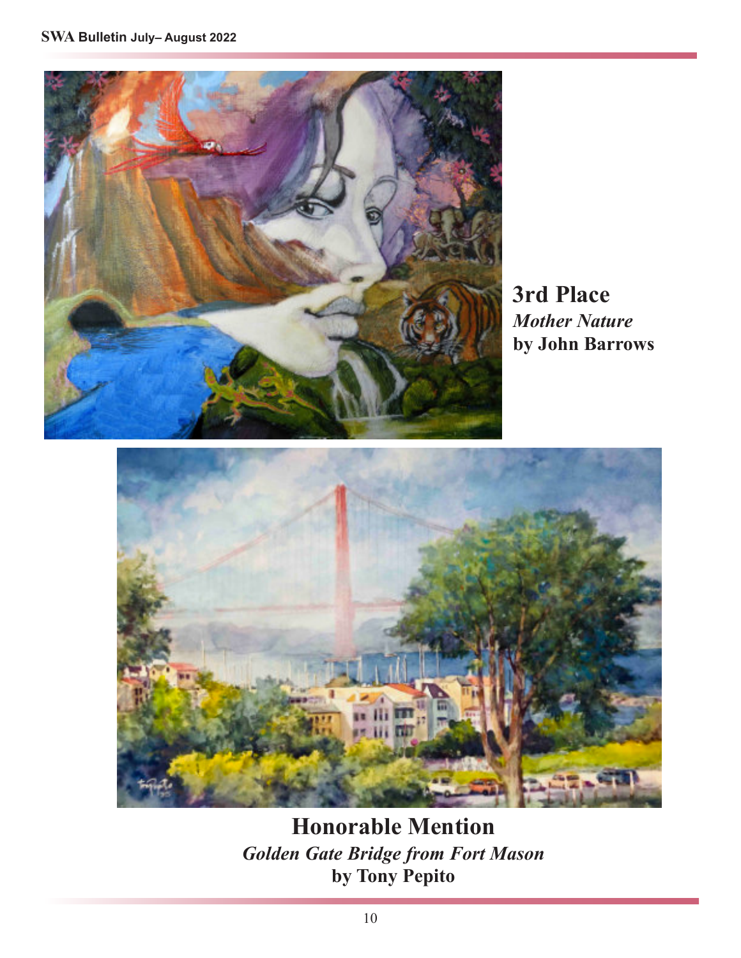

**3rd Place** *Mother Nature* **by John Barrows**



**Honorable Mention** *Golden Gate Bridge from Fort Mason* **by Tony Pepito**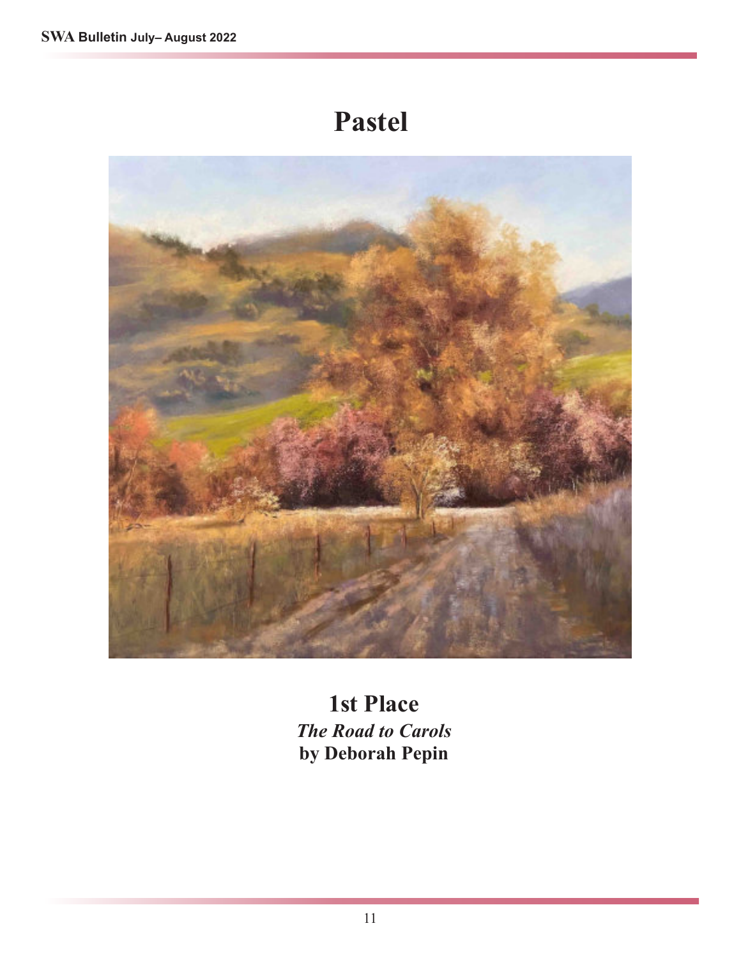# **Pastel**



**1st Place** *The Road to Carols* **by Deborah Pepin**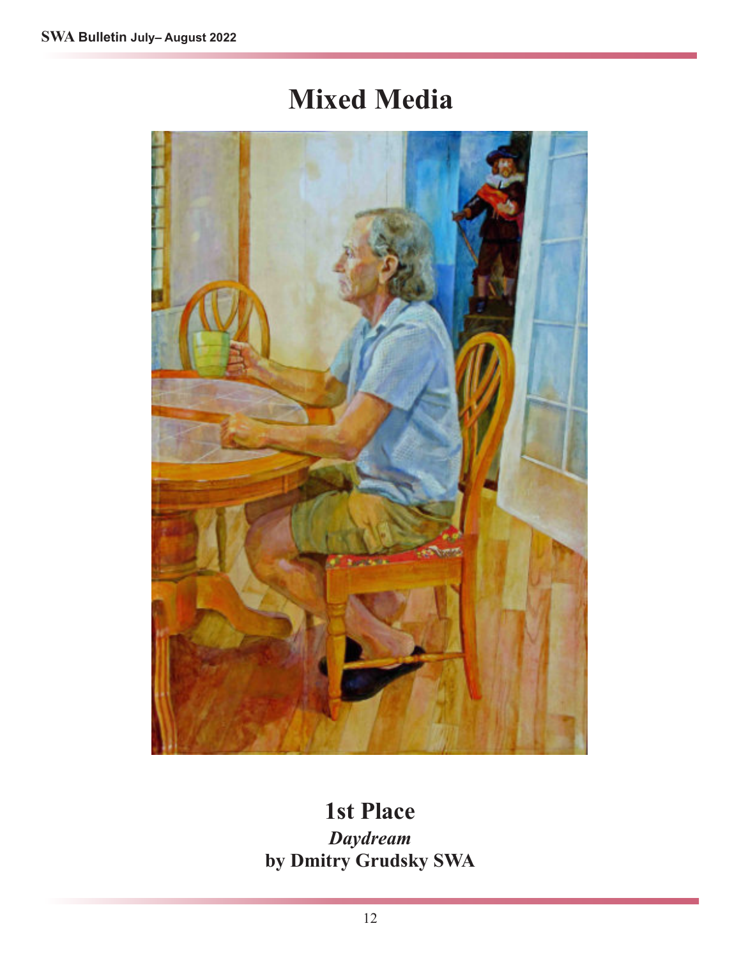# **Mixed Media**



### **1st Place** *Daydream* **by Dmitry Grudsky SWA**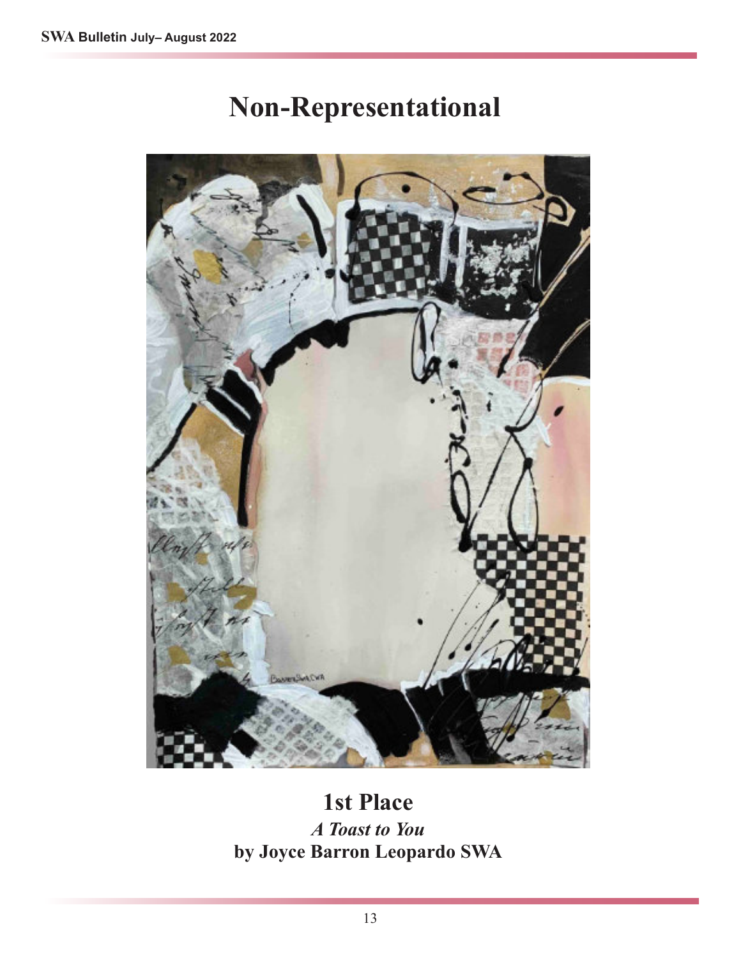# **Non-Representational**



### **1st Place**

*A Toast to You* **by Joyce Barron Leopardo SWA**